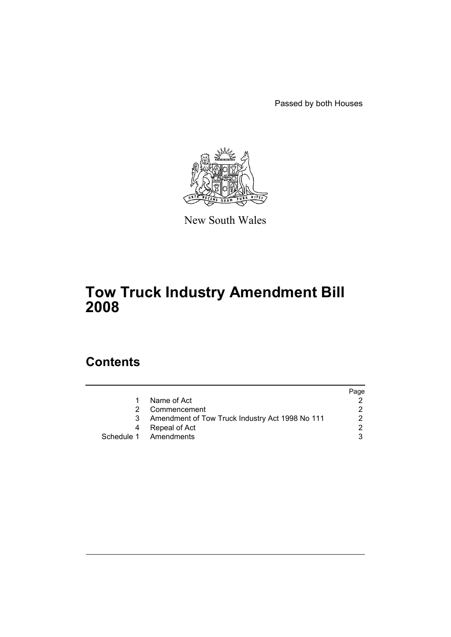Passed by both Houses



New South Wales

# **Tow Truck Industry Amendment Bill 2008**

## **Contents**

|    |                                                 | Page |
|----|-------------------------------------------------|------|
| 1. | Name of Act                                     |      |
| 2  | Commencement                                    |      |
| 3  | Amendment of Tow Truck Industry Act 1998 No 111 |      |
| 4  | Repeal of Act                                   |      |
|    | Schedule 1 Amendments                           |      |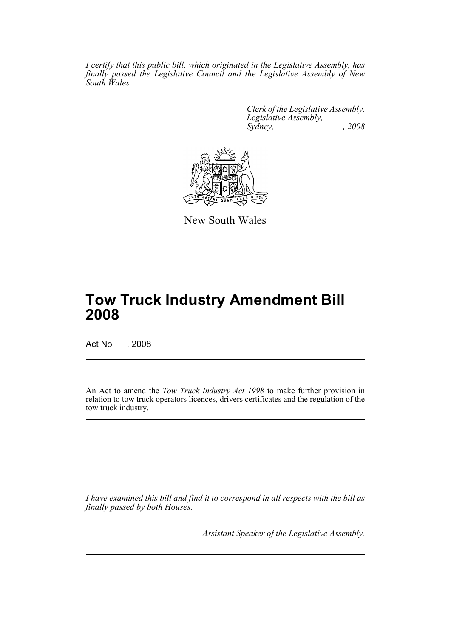*I certify that this public bill, which originated in the Legislative Assembly, has finally passed the Legislative Council and the Legislative Assembly of New South Wales.*

> *Clerk of the Legislative Assembly. Legislative Assembly, Sydney, , 2008*



New South Wales

# **Tow Truck Industry Amendment Bill 2008**

Act No , 2008

An Act to amend the *Tow Truck Industry Act 1998* to make further provision in relation to tow truck operators licences, drivers certificates and the regulation of the tow truck industry.

*I have examined this bill and find it to correspond in all respects with the bill as finally passed by both Houses.*

*Assistant Speaker of the Legislative Assembly.*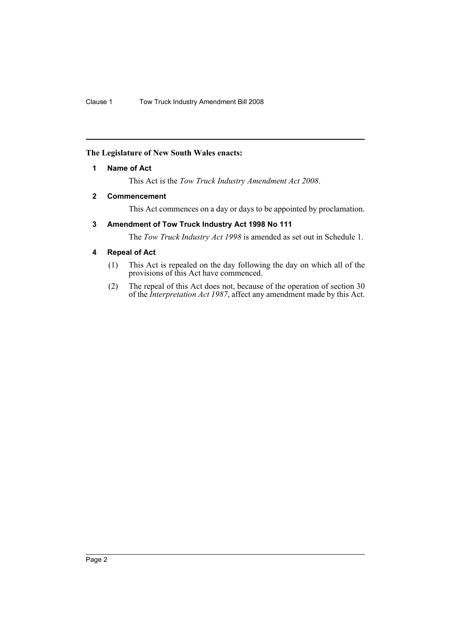## <span id="page-2-0"></span>**The Legislature of New South Wales enacts:**

## **1 Name of Act**

This Act is the *Tow Truck Industry Amendment Act 2008*.

## <span id="page-2-1"></span>**2 Commencement**

This Act commences on a day or days to be appointed by proclamation.

## <span id="page-2-2"></span>**3 Amendment of Tow Truck Industry Act 1998 No 111**

The *Tow Truck Industry Act 1998* is amended as set out in Schedule 1.

## <span id="page-2-3"></span>**4 Repeal of Act**

- (1) This Act is repealed on the day following the day on which all of the provisions of this Act have commenced.
- (2) The repeal of this Act does not, because of the operation of section 30 of the *Interpretation Act 1987*, affect any amendment made by this Act.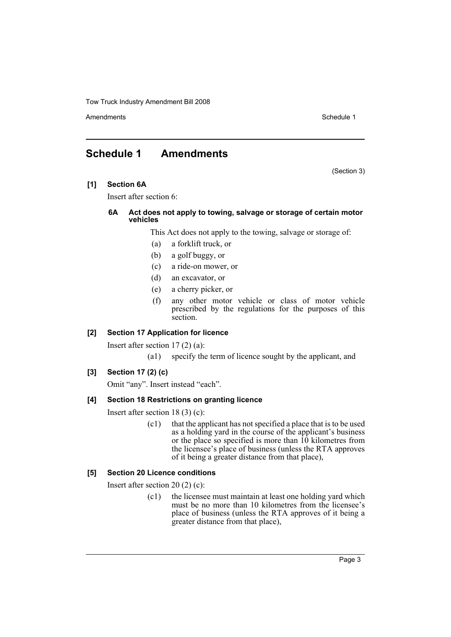Amendments **Schedule 1** and the set of the set of the set of the set of the set of the set of the set of the set of the set of the set of the set of the set of the set of the set of the set of the set of the set of the set

## <span id="page-3-0"></span>**Schedule 1 Amendments**

(Section 3)

**[1] Section 6A**

Insert after section 6:

#### **6A Act does not apply to towing, salvage or storage of certain motor vehicles**

This Act does not apply to the towing, salvage or storage of:

- (a) a forklift truck, or
- (b) a golf buggy, or
- (c) a ride-on mower, or
- (d) an excavator, or
- (e) a cherry picker, or
- (f) any other motor vehicle or class of motor vehicle prescribed by the regulations for the purposes of this section.

#### **[2] Section 17 Application for licence**

Insert after section 17 (2) (a):

(a1) specify the term of licence sought by the applicant, and

## **[3] Section 17 (2) (c)**

Omit "any". Insert instead "each".

#### **[4] Section 18 Restrictions on granting licence**

Insert after section 18 (3) (c):

(c1) that the applicant has not specified a place that is to be used as a holding yard in the course of the applicant's business or the place so specified is more than  $10$  kilometres from the licensee's place of business (unless the RTA approves of it being a greater distance from that place),

## **[5] Section 20 Licence conditions**

Insert after section 20 (2) (c):

(c1) the licensee must maintain at least one holding yard which must be no more than 10 kilometres from the licensee's place of business (unless the RTA approves of it being a greater distance from that place),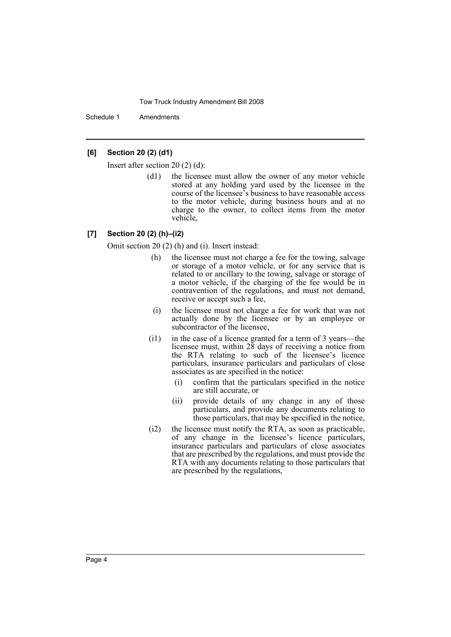Schedule 1 Amendments

## **[6] Section 20 (2) (d1)**

Insert after section 20 (2) (d):

(d1) the licensee must allow the owner of any motor vehicle stored at any holding yard used by the licensee in the course of the licensee's business to have reasonable access to the motor vehicle, during business hours and at no charge to the owner, to collect items from the motor vehicle,

#### **[7] Section 20 (2) (h)–(i2)**

Omit section 20 (2) (h) and (i). Insert instead:

- (h) the licensee must not charge a fee for the towing, salvage or storage of a motor vehicle, or for any service that is related to or ancillary to the towing, salvage or storage of a motor vehicle, if the charging of the fee would be in contravention of the regulations, and must not demand, receive or accept such a fee,
- (i) the licensee must not charge a fee for work that was not actually done by the licensee or by an employee or subcontractor of the licensee,
- (i1) in the case of a licence granted for a term of 3 years—the licensee must, within 28 days of receiving a notice from the RTA relating to such of the licensee's licence particulars, insurance particulars and particulars of close associates as are specified in the notice:
	- (i) confirm that the particulars specified in the notice are still accurate, or
	- (ii) provide details of any change in any of those particulars, and provide any documents relating to those particulars, that may be specified in the notice,
- (i2) the licensee must notify the RTA, as soon as practicable, of any change in the licensee's licence particulars, insurance particulars and particulars of close associates that are prescribed by the regulations, and must provide the RTA with any documents relating to those particulars that are prescribed by the regulations,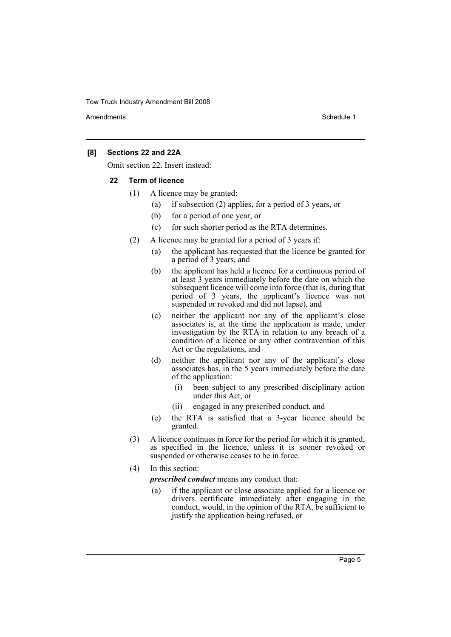Amendments **Amendments** Schedule 1

## **[8] Sections 22 and 22A**

Omit section 22. Insert instead:

#### **22 Term of licence**

- (1) A licence may be granted:
	- (a) if subsection (2) applies, for a period of 3 years, or
	- (b) for a period of one year, or
	- (c) for such shorter period as the RTA determines.
- (2) A licence may be granted for a period of 3 years if:
	- (a) the applicant has requested that the licence be granted for a period of 3 years, and
	- (b) the applicant has held a licence for a continuous period of at least 3 years immediately before the date on which the subsequent licence will come into force (that is, during that period of 3 years, the applicant's licence was not suspended or revoked and did not lapse), and
	- (c) neither the applicant nor any of the applicant's close associates is, at the time the application is made, under investigation by the RTA in relation to any breach of a condition of a licence or any other contravention of this Act or the regulations, and
	- (d) neither the applicant nor any of the applicant's close associates has, in the 5 years immediately before the date of the application:
		- (i) been subject to any prescribed disciplinary action under this Act, or
		- (ii) engaged in any prescribed conduct, and
	- (e) the RTA is satisfied that a 3-year licence should be granted.
- (3) A licence continues in force for the period for which it is granted, as specified in the licence, unless it is sooner revoked or suspended or otherwise ceases to be in force.
- (4) In this section:

*prescribed conduct* means any conduct that:

(a) if the applicant or close associate applied for a licence or drivers certificate immediately after engaging in the conduct, would, in the opinion of the RTA, be sufficient to justify the application being refused, or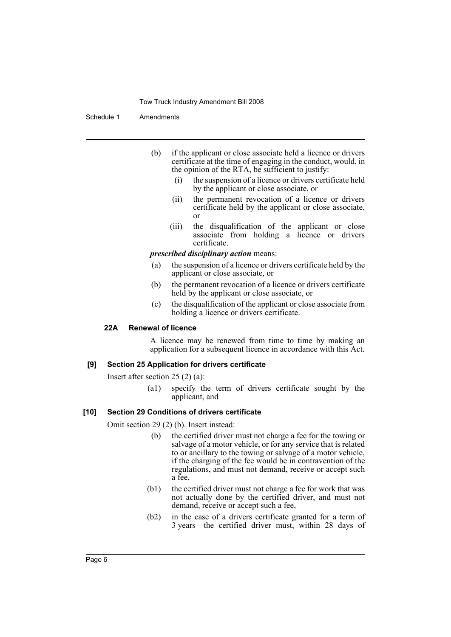Schedule 1 Amendments

- (b) if the applicant or close associate held a licence or drivers certificate at the time of engaging in the conduct, would, in the opinion of the RTA, be sufficient to justify:
	- (i) the suspension of a licence or drivers certificate held by the applicant or close associate, or
	- (ii) the permanent revocation of a licence or drivers certificate held by the applicant or close associate, or
	- (iii) the disqualification of the applicant or close associate from holding a licence or drivers certificate.

*prescribed disciplinary action* means:

- (a) the suspension of a licence or drivers certificate held by the applicant or close associate, or
- (b) the permanent revocation of a licence or drivers certificate held by the applicant or close associate, or
- (c) the disqualification of the applicant or close associate from holding a licence or drivers certificate.

## **22A Renewal of licence**

A licence may be renewed from time to time by making an application for a subsequent licence in accordance with this Act.

## **[9] Section 25 Application for drivers certificate**

Insert after section 25 (2) (a):

(a1) specify the term of drivers certificate sought by the applicant, and

#### **[10] Section 29 Conditions of drivers certificate**

Omit section 29 (2) (b). Insert instead:

- (b) the certified driver must not charge a fee for the towing or salvage of a motor vehicle, or for any service that is related to or ancillary to the towing or salvage of a motor vehicle, if the charging of the fee would be in contravention of the regulations, and must not demand, receive or accept such a fee,
- (b1) the certified driver must not charge a fee for work that was not actually done by the certified driver, and must not demand, receive or accept such a fee,
- (b2) in the case of a drivers certificate granted for a term of 3 years—the certified driver must, within 28 days of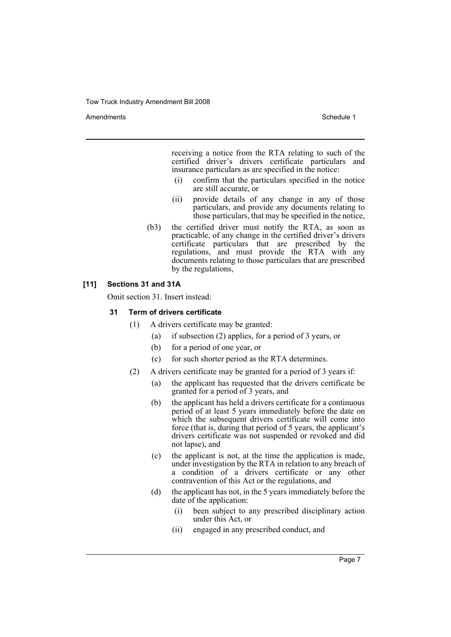Amendments **Amendments** Schedule 1

receiving a notice from the RTA relating to such of the certified driver's drivers certificate particulars and insurance particulars as are specified in the notice:

- (i) confirm that the particulars specified in the notice are still accurate, or
- (ii) provide details of any change in any of those particulars, and provide any documents relating to those particulars, that may be specified in the notice,
- (b3) the certified driver must notify the RTA, as soon as practicable, of any change in the certified driver's drivers certificate particulars that are prescribed by the regulations, and must provide the RTA with any documents relating to those particulars that are prescribed by the regulations,

## **[11] Sections 31 and 31A**

Omit section 31. Insert instead:

## **31 Term of drivers certificate**

- (1) A drivers certificate may be granted:
	- (a) if subsection (2) applies, for a period of 3 years, or
	- (b) for a period of one year, or
	- (c) for such shorter period as the RTA determines.
- (2) A drivers certificate may be granted for a period of 3 years if:
	- (a) the applicant has requested that the drivers certificate be granted for a period of 3 years, and
	- (b) the applicant has held a drivers certificate for a continuous period of at least 5 years immediately before the date on which the subsequent drivers certificate will come into force (that is, during that period of 5 years, the applicant's drivers certificate was not suspended or revoked and did not lapse), and
	- (c) the applicant is not, at the time the application is made, under investigation by the RTA in relation to any breach of a condition of a drivers certificate or any other contravention of this Act or the regulations, and
	- (d) the applicant has not, in the 5 years immediately before the date of the application:
		- (i) been subject to any prescribed disciplinary action under this Act, or
		- (ii) engaged in any prescribed conduct, and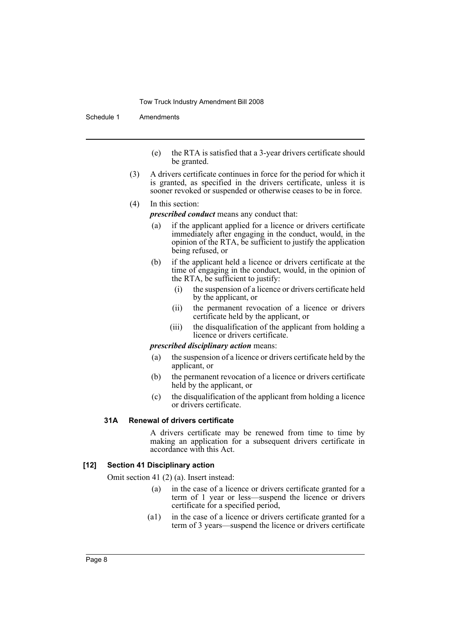Schedule 1 Amendments

- (e) the RTA is satisfied that a 3-year drivers certificate should be granted.
- (3) A drivers certificate continues in force for the period for which it is granted, as specified in the drivers certificate, unless it is sooner revoked or suspended or otherwise ceases to be in force.
- (4) In this section:

*prescribed conduct* means any conduct that:

- (a) if the applicant applied for a licence or drivers certificate immediately after engaging in the conduct, would, in the opinion of the RTA, be sufficient to justify the application being refused, or
- (b) if the applicant held a licence or drivers certificate at the time of engaging in the conduct, would, in the opinion of the RTA, be sufficient to justify:
	- (i) the suspension of a licence or drivers certificate held by the applicant, or
	- (ii) the permanent revocation of a licence or drivers certificate held by the applicant, or
	- (iii) the disqualification of the applicant from holding a licence or drivers certificate.

*prescribed disciplinary action* means:

- (a) the suspension of a licence or drivers certificate held by the applicant, or
- (b) the permanent revocation of a licence or drivers certificate held by the applicant, or
- (c) the disqualification of the applicant from holding a licence or drivers certificate.

#### **31A Renewal of drivers certificate**

A drivers certificate may be renewed from time to time by making an application for a subsequent drivers certificate in accordance with this Act.

#### **[12] Section 41 Disciplinary action**

Omit section 41 (2) (a). Insert instead:

- (a) in the case of a licence or drivers certificate granted for a term of 1 year or less—suspend the licence or drivers certificate for a specified period,
- (a1) in the case of a licence or drivers certificate granted for a term of 3 years—suspend the licence or drivers certificate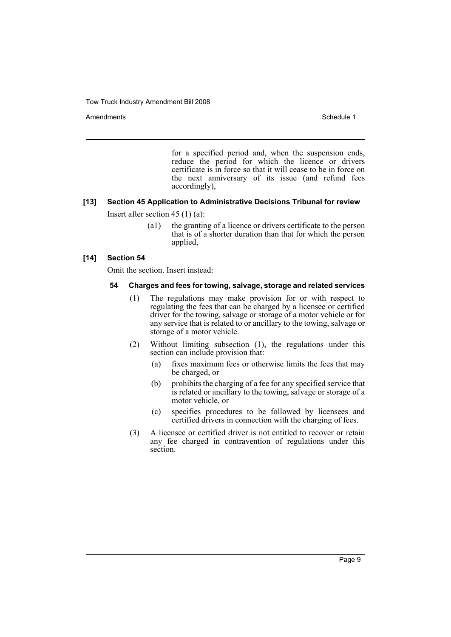Amendments **Schedule 1** and the set of the set of the set of the set of the set of the set of the set of the set of the set of the set of the set of the set of the set of the set of the set of the set of the set of the set

for a specified period and, when the suspension ends, reduce the period for which the licence or drivers certificate is in force so that it will cease to be in force on the next anniversary of its issue (and refund fees accordingly),

## **[13] Section 45 Application to Administrative Decisions Tribunal for review**

Insert after section 45 (1) (a):

(a1) the granting of a licence or drivers certificate to the person that is of a shorter duration than that for which the person applied,

## **[14] Section 54**

Omit the section. Insert instead:

## **54 Charges and fees for towing, salvage, storage and related services**

- (1) The regulations may make provision for or with respect to regulating the fees that can be charged by a licensee or certified driver for the towing, salvage or storage of a motor vehicle or for any service that is related to or ancillary to the towing, salvage or storage of a motor vehicle.
- (2) Without limiting subsection (1), the regulations under this section can include provision that:
	- (a) fixes maximum fees or otherwise limits the fees that may be charged, or
	- (b) prohibits the charging of a fee for any specified service that is related or ancillary to the towing, salvage or storage of a motor vehicle, or
	- (c) specifies procedures to be followed by licensees and certified drivers in connection with the charging of fees.
- (3) A licensee or certified driver is not entitled to recover or retain any fee charged in contravention of regulations under this section.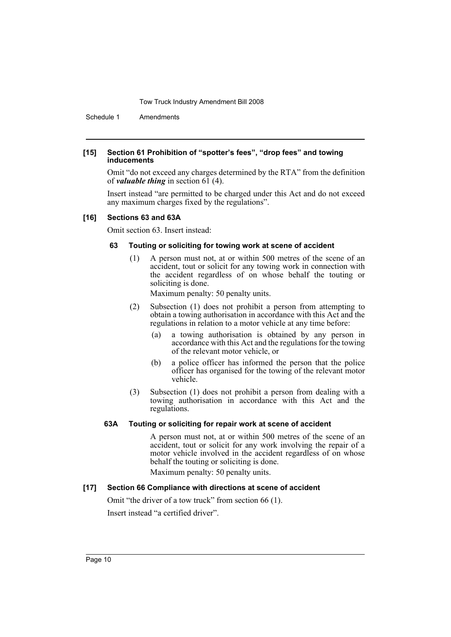Schedule 1 Amendments

#### **[15] Section 61 Prohibition of "spotter's fees", "drop fees" and towing inducements**

Omit "do not exceed any charges determined by the RTA" from the definition of *valuable thing* in section 61 (4).

Insert instead "are permitted to be charged under this Act and do not exceed any maximum charges fixed by the regulations".

#### **[16] Sections 63 and 63A**

Omit section 63. Insert instead:

## **63 Touting or soliciting for towing work at scene of accident**

(1) A person must not, at or within 500 metres of the scene of an accident, tout or solicit for any towing work in connection with the accident regardless of on whose behalf the touting or soliciting is done.

Maximum penalty: 50 penalty units.

- (2) Subsection (1) does not prohibit a person from attempting to obtain a towing authorisation in accordance with this Act and the regulations in relation to a motor vehicle at any time before:
	- (a) a towing authorisation is obtained by any person in accordance with this Act and the regulations for the towing of the relevant motor vehicle, or
	- (b) a police officer has informed the person that the police officer has organised for the towing of the relevant motor vehicle.
- (3) Subsection (1) does not prohibit a person from dealing with a towing authorisation in accordance with this Act and the regulations.

#### **63A Touting or soliciting for repair work at scene of accident**

A person must not, at or within 500 metres of the scene of an accident, tout or solicit for any work involving the repair of a motor vehicle involved in the accident regardless of on whose behalf the touting or soliciting is done.

Maximum penalty: 50 penalty units.

## **[17] Section 66 Compliance with directions at scene of accident**

Omit "the driver of a tow truck" from section 66 (1). Insert instead "a certified driver".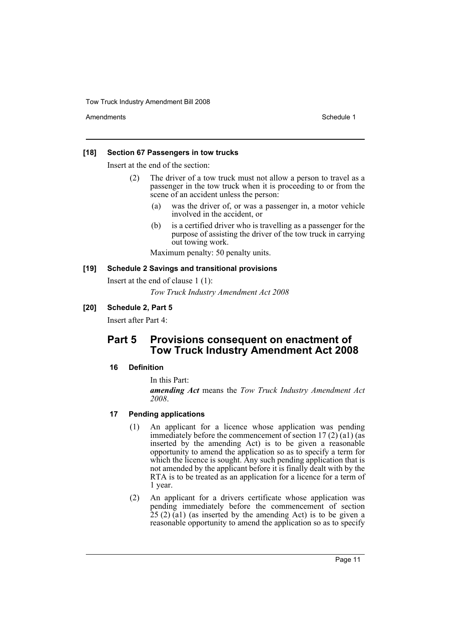Amendments **Schedule 1** and the set of the set of the set of the set of the set of the set of the set of the set of the set of the set of the set of the set of the set of the set of the set of the set of the set of the set

#### **[18] Section 67 Passengers in tow trucks**

Insert at the end of the section:

- (2) The driver of a tow truck must not allow a person to travel as a passenger in the tow truck when it is proceeding to or from the scene of an accident unless the person:
	- (a) was the driver of, or was a passenger in, a motor vehicle involved in the accident, or
	- (b) is a certified driver who is travelling as a passenger for the purpose of assisting the driver of the tow truck in carrying out towing work.

Maximum penalty: 50 penalty units.

## **[19] Schedule 2 Savings and transitional provisions**

Insert at the end of clause 1 (1):

*Tow Truck Industry Amendment Act 2008*

## **[20] Schedule 2, Part 5**

Insert after Part 4:

## **Part 5 Provisions consequent on enactment of Tow Truck Industry Amendment Act 2008**

#### **16 Definition**

In this Part:

*amending Act* means the *Tow Truck Industry Amendment Act 2008*.

## **17 Pending applications**

- (1) An applicant for a licence whose application was pending immediately before the commencement of section  $17(2)$  (a1) (as inserted by the amending Act) is to be given a reasonable opportunity to amend the application so as to specify a term for which the licence is sought. Any such pending application that is not amended by the applicant before it is finally dealt with by the RTA is to be treated as an application for a licence for a term of 1 year.
- (2) An applicant for a drivers certificate whose application was pending immediately before the commencement of section  $25(2)(a1)$  (as inserted by the amending Act) is to be given a reasonable opportunity to amend the application so as to specify